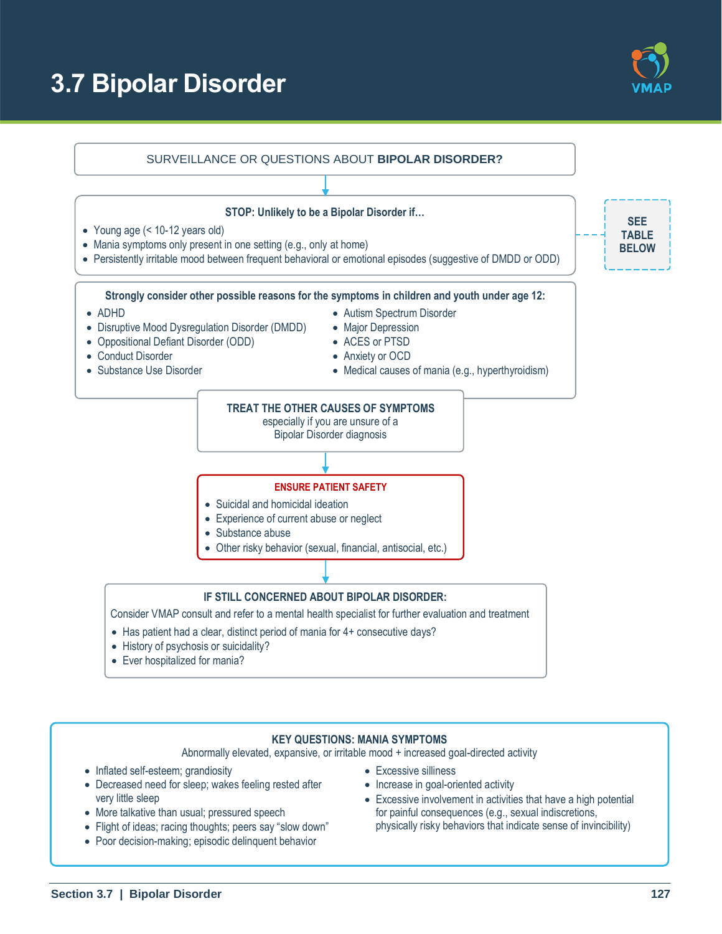# **3.7 Bipolar Disorder**





#### **KEY QUESTIONS: MANIA SYMPTOMS**

Abnormally elevated, expansive, or irritable mood + increased goal-directed activity

- Inflated self-esteem; grandiosity
- Decreased need for sleep; wakes feeling rested after very little sleep
- More talkative than usual; pressured speech
- Flight of ideas; racing thoughts; peers say "slow down"
- Poor decision-making; episodic delinquent behavior
- Excessive silliness
- Increase in goal-oriented activity
- Excessive involvement in activities that have a high potential for painful consequences (e.g., sexual indiscretions, physically risky behaviors that indicate sense of invincibility)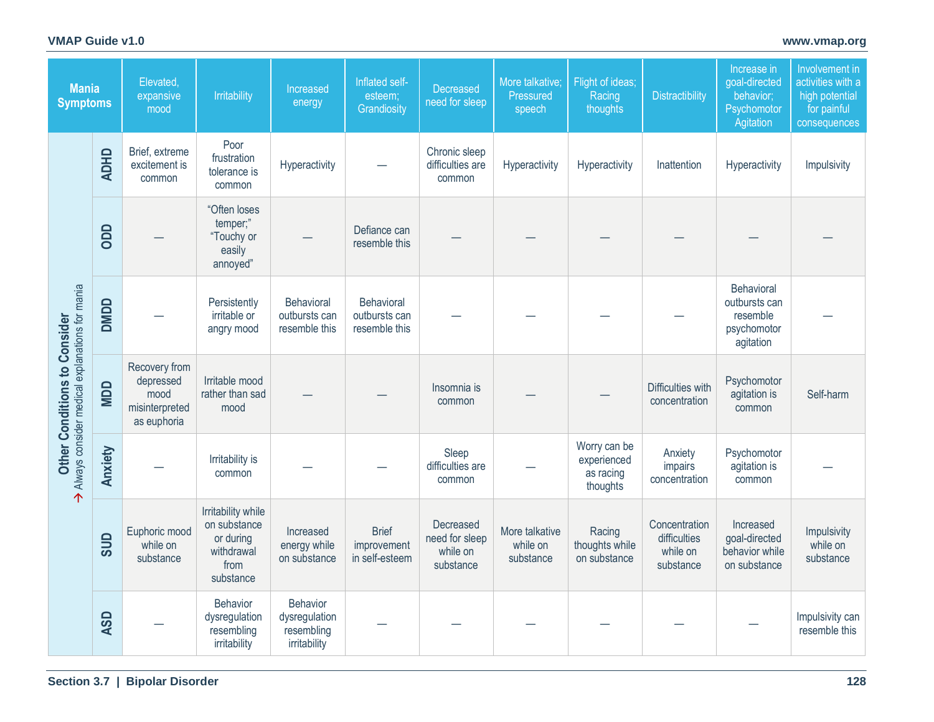## **VMAP Guide v1.0 [www.vmap.org](https://vmap.org/)**

| <b>Mania</b><br><b>Symptoms</b>                                                |             | Elevated,<br>expansive<br>mood                                      | Irritability                                                                       | Increased<br>energy                                            | Inflated self-<br>esteem;<br>Grandiosity      | Decreased<br>need for sleep                          | More talkative;<br>Pressured<br>speech  | Flight of ideas;<br>Racing<br>thoughts               | <b>Distractibility</b>                                 | Increase in<br>goal-directed<br>behavior;<br>Psychomotor<br>Agitation | Involvement in<br>activities with a<br>high potential<br>for painful<br>consequences |
|--------------------------------------------------------------------------------|-------------|---------------------------------------------------------------------|------------------------------------------------------------------------------------|----------------------------------------------------------------|-----------------------------------------------|------------------------------------------------------|-----------------------------------------|------------------------------------------------------|--------------------------------------------------------|-----------------------------------------------------------------------|--------------------------------------------------------------------------------------|
| Always consider medical explanations for mania<br>Other Conditions to Consider | <b>ADHD</b> | Brief, extreme<br>excitement is<br>common                           | Poor<br>frustration<br>tolerance is<br>common                                      | Hyperactivity                                                  |                                               | Chronic sleep<br>difficulties are<br>common          | Hyperactivity                           | Hyperactivity                                        | Inattention                                            | Hyperactivity                                                         | Impulsivity                                                                          |
|                                                                                | ODD         |                                                                     | "Often loses<br>temper;"<br>"Touchy or<br>easily<br>annoyed"                       |                                                                | Defiance can<br>resemble this                 |                                                      |                                         |                                                      |                                                        |                                                                       |                                                                                      |
|                                                                                | DMDD        | Persistently<br>irritable or<br>angry mood                          |                                                                                    | Behavioral<br>outbursts can<br>resemble this                   | Behavioral<br>outbursts can<br>resemble this  |                                                      |                                         |                                                      |                                                        | Behavioral<br>outbursts can<br>resemble<br>psychomotor<br>agitation   |                                                                                      |
|                                                                                | <b>NDD</b>  | Recovery from<br>depressed<br>mood<br>misinterpreted<br>as euphoria | Irritable mood<br>rather than sad<br>mood                                          |                                                                |                                               | Insomnia is<br>common                                |                                         |                                                      | Difficulties with<br>concentration                     | Psychomotor<br>agitation is<br>common                                 | Self-harm                                                                            |
|                                                                                | Anxiety     |                                                                     | Irritability is<br>common                                                          |                                                                |                                               | Sleep<br>difficulties are<br>common                  |                                         | Worry can be<br>experienced<br>as racing<br>thoughts | Anxiety<br>impairs<br>concentration                    | Psychomotor<br>agitation is<br>common                                 |                                                                                      |
|                                                                                | SUD         | Euphoric mood<br>while on<br>substance                              | Irritability while<br>on substance<br>or during<br>withdrawal<br>from<br>substance | Increased<br>energy while<br>on substance                      | <b>Brief</b><br>improvement<br>in self-esteem | Decreased<br>need for sleep<br>while on<br>substance | More talkative<br>while on<br>substance | Racing<br>thoughts while<br>on substance             | Concentration<br>difficulties<br>while on<br>substance | Increased<br>goal-directed<br>behavior while<br>on substance          | Impulsivity<br>while on<br>substance                                                 |
|                                                                                | <b>ASD</b>  |                                                                     | <b>Behavior</b><br>dysregulation<br>resembling<br>irritability                     | <b>Behavior</b><br>dysregulation<br>resembling<br>irritability |                                               |                                                      |                                         |                                                      |                                                        |                                                                       | Impulsivity can<br>resemble this                                                     |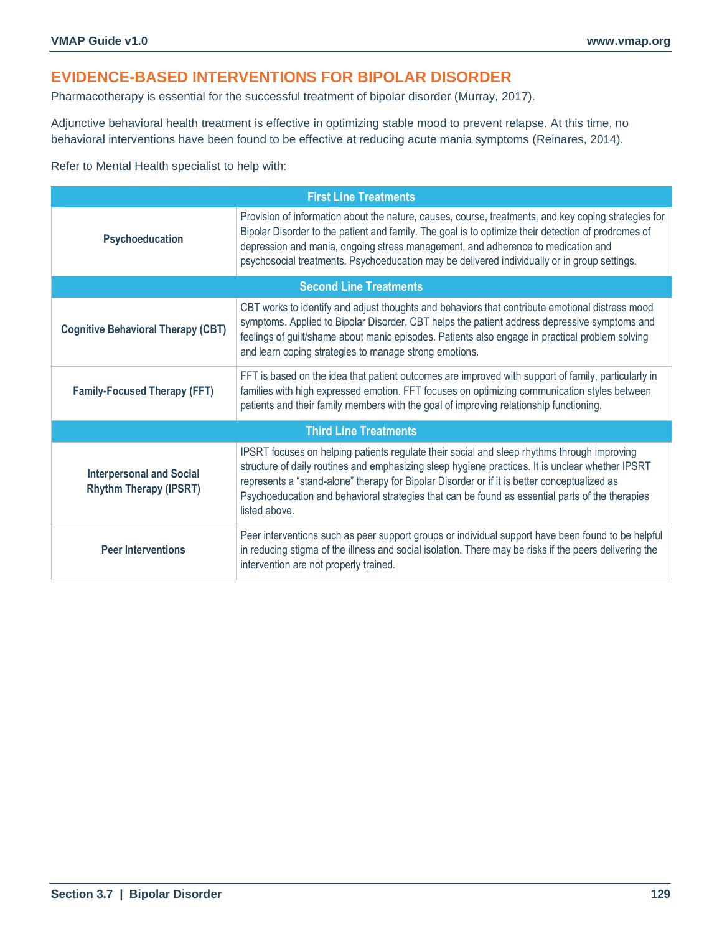## **EVIDENCE-BASED INTERVENTIONS FOR BIPOLAR DISORDER**

Pharmacotherapy is essential for the successful treatment of bipolar disorder (Murray, 2017).

Adjunctive behavioral health treatment is effective in optimizing stable mood to prevent relapse. At this time, no behavioral interventions have been found to be effective at reducing acute mania symptoms (Reinares, 2014).

Refer to Mental Health specialist to help with:

| <b>First Line Treatments</b>                                     |                                                                                                                                                                                                                                                                                                                                                                                                                     |  |  |  |
|------------------------------------------------------------------|---------------------------------------------------------------------------------------------------------------------------------------------------------------------------------------------------------------------------------------------------------------------------------------------------------------------------------------------------------------------------------------------------------------------|--|--|--|
| Psychoeducation                                                  | Provision of information about the nature, causes, course, treatments, and key coping strategies for<br>Bipolar Disorder to the patient and family. The goal is to optimize their detection of prodromes of<br>depression and mania, ongoing stress management, and adherence to medication and<br>psychosocial treatments. Psychoeducation may be delivered individually or in group settings.                     |  |  |  |
| <b>Second Line Treatments</b>                                    |                                                                                                                                                                                                                                                                                                                                                                                                                     |  |  |  |
| <b>Cognitive Behavioral Therapy (CBT)</b>                        | CBT works to identify and adjust thoughts and behaviors that contribute emotional distress mood<br>symptoms. Applied to Bipolar Disorder, CBT helps the patient address depressive symptoms and<br>feelings of guilt/shame about manic episodes. Patients also engage in practical problem solving<br>and learn coping strategies to manage strong emotions.                                                        |  |  |  |
| <b>Family-Focused Therapy (FFT)</b>                              | FFT is based on the idea that patient outcomes are improved with support of family, particularly in<br>families with high expressed emotion. FFT focuses on optimizing communication styles between<br>patients and their family members with the goal of improving relationship functioning.                                                                                                                       |  |  |  |
| <b>Third Line Treatments</b>                                     |                                                                                                                                                                                                                                                                                                                                                                                                                     |  |  |  |
| <b>Interpersonal and Social</b><br><b>Rhythm Therapy (IPSRT)</b> | IPSRT focuses on helping patients regulate their social and sleep rhythms through improving<br>structure of daily routines and emphasizing sleep hygiene practices. It is unclear whether IPSRT<br>represents a "stand-alone" therapy for Bipolar Disorder or if it is better conceptualized as<br>Psychoeducation and behavioral strategies that can be found as essential parts of the therapies<br>listed above. |  |  |  |
| <b>Peer Interventions</b>                                        | Peer interventions such as peer support groups or individual support have been found to be helpful<br>in reducing stigma of the illness and social isolation. There may be risks if the peers delivering the<br>intervention are not properly trained.                                                                                                                                                              |  |  |  |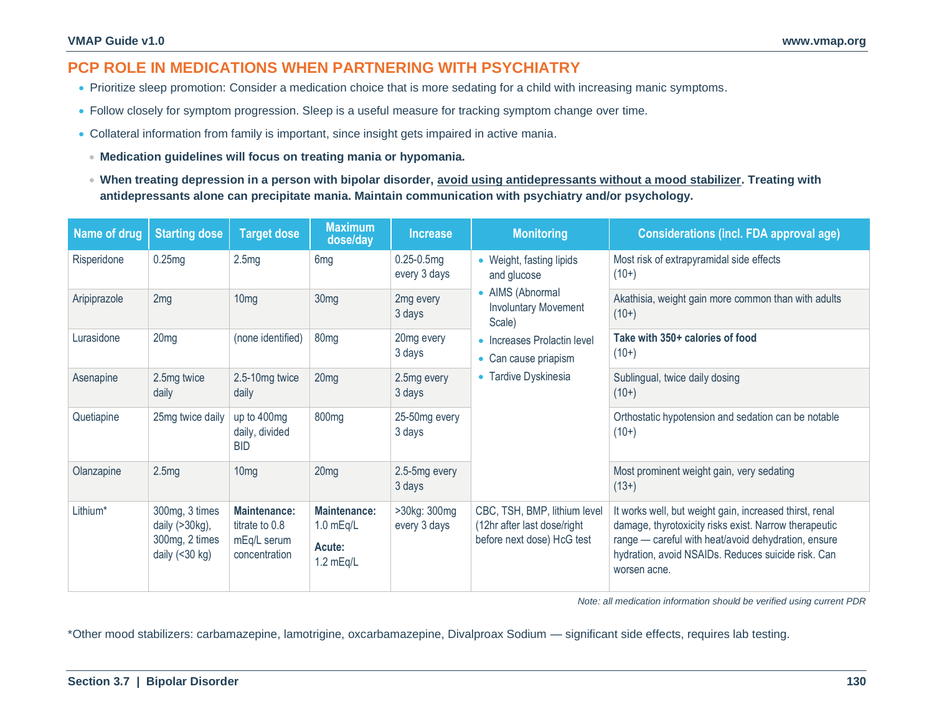## **PCP ROLE IN MEDICATIONS WHEN PARTNERING WITH PSYCHIATRY**

- Prioritize sleep promotion: Consider a medication choice that is more sedating for a child with increasing manic symptoms.
- Follow closely for symptom progression. Sleep is a useful measure for tracking symptom change over time.
- Collateral information from family is important, since insight gets impaired in active mania.
	- **Medication guidelines will focus on treating mania or hypomania.**
	- **When treating depression in a person with bipolar disorder, avoid using antidepressants without a mood stabilizer. Treating with antidepressants alone can precipitate mania. Maintain communication with psychiatry and/or psychology.**

| Name of drug | <b>Starting dose</b>                                                      | <b>Target dose</b>                                                    | <b>Maximum</b><br>dose/day                                  | <b>Increase</b>                 | <b>Monitoring</b>                                                                         | <b>Considerations (incl. FDA approval age)</b>                                                                                                                                                                                                |
|--------------|---------------------------------------------------------------------------|-----------------------------------------------------------------------|-------------------------------------------------------------|---------------------------------|-------------------------------------------------------------------------------------------|-----------------------------------------------------------------------------------------------------------------------------------------------------------------------------------------------------------------------------------------------|
| Risperidone  | 0.25mg                                                                    | 2.5mg                                                                 | 6 <sub>mg</sub>                                             | $0.25 - 0.5$ mg<br>every 3 days | • Weight, fasting lipids<br>and glucose                                                   | Most risk of extrapyramidal side effects<br>$(10+)$                                                                                                                                                                                           |
| Aripiprazole | 2mg                                                                       | 10 <sub>mg</sub>                                                      | 30 <sub>mg</sub>                                            | 2mg every<br>3 days             | • AIMS (Abnormal<br><b>Involuntary Movement</b><br>Scale)                                 | Akathisia, weight gain more common than with adults<br>$(10+)$                                                                                                                                                                                |
| Lurasidone   | 20 <sub>mg</sub>                                                          | (none identified)                                                     | 80 <sub>mg</sub>                                            | 20mg every<br>3 days            | • Increases Prolactin level<br>• Can cause priapism                                       | Take with 350+ calories of food<br>$(10+)$                                                                                                                                                                                                    |
| Asenapine    | 2.5mg twice<br>daily                                                      | 2.5-10mg twice<br>daily                                               | 20 <sub>mg</sub>                                            | 2.5mg every<br>3 days           | • Tardive Dyskinesia                                                                      | Sublingual, twice daily dosing<br>$(10+)$                                                                                                                                                                                                     |
| Quetiapine   | 25mg twice daily                                                          | up to 400mg<br>daily, divided<br><b>BID</b>                           | 800 <sub>mg</sub>                                           | 25-50mg every<br>3 days         |                                                                                           | Orthostatic hypotension and sedation can be notable<br>$(10+)$                                                                                                                                                                                |
| Olanzapine   | 2.5mg                                                                     | 10 <sub>mg</sub>                                                      | 20 <sub>mg</sub>                                            | 2.5-5mg every<br>3 days         |                                                                                           | Most prominent weight gain, very sedating<br>$(13+)$                                                                                                                                                                                          |
| Lithium*     | 300mg, 3 times<br>daily $(>30kg)$ ,<br>300mg, 2 times<br>daily $(<30 kg)$ | <b>Maintenance:</b><br>titrate to 0.8<br>mEq/L serum<br>concentration | <b>Maintenance:</b><br>$1.0$ mEq/L<br>Acute:<br>$1.2$ mEq/L | >30kg: 300mg<br>every 3 days    | CBC, TSH, BMP, lithium level<br>(12hr after last dose/right<br>before next dose) HcG test | It works well, but weight gain, increased thirst, renal<br>damage, thyrotoxicity risks exist. Narrow therapeutic<br>range - careful with heat/avoid dehydration, ensure<br>hydration, avoid NSAIDs. Reduces suicide risk. Can<br>worsen acne. |

*Note: all medication information should be verified using current PDR*

\*Other mood stabilizers: carbamazepine, lamotrigine, oxcarbamazepine, Divalproax Sodium — significant side effects, requires lab testing.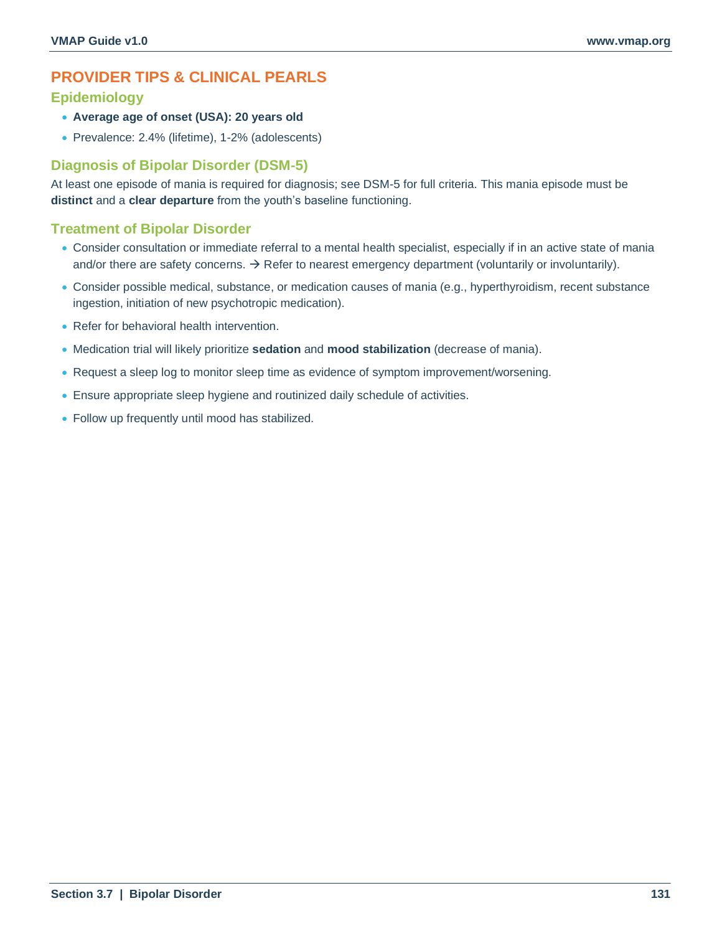## **PROVIDER TIPS & CLINICAL PEARLS**

## **Epidemiology**

- **Average age of onset (USA): 20 years old**
- Prevalence: 2.4% (lifetime), 1-2% (adolescents)

## **Diagnosis of Bipolar Disorder (DSM-5)**

At least one episode of mania is required for diagnosis; see DSM-5 for full criteria. This mania episode must be **distinct** and a **clear departure** from the youth's baseline functioning.

## **Treatment of Bipolar Disorder**

- Consider consultation or immediate referral to a mental health specialist, especially if in an active state of mania and/or there are safety concerns.  $\rightarrow$  Refer to nearest emergency department (voluntarily or involuntarily).
- Consider possible medical, substance, or medication causes of mania (e.g., hyperthyroidism, recent substance ingestion, initiation of new psychotropic medication).
- Refer for behavioral health intervention.
- Medication trial will likely prioritize **sedation** and **mood stabilization** (decrease of mania).
- Request a sleep log to monitor sleep time as evidence of symptom improvement/worsening.
- Ensure appropriate sleep hygiene and routinized daily schedule of activities.
- Follow up frequently until mood has stabilized.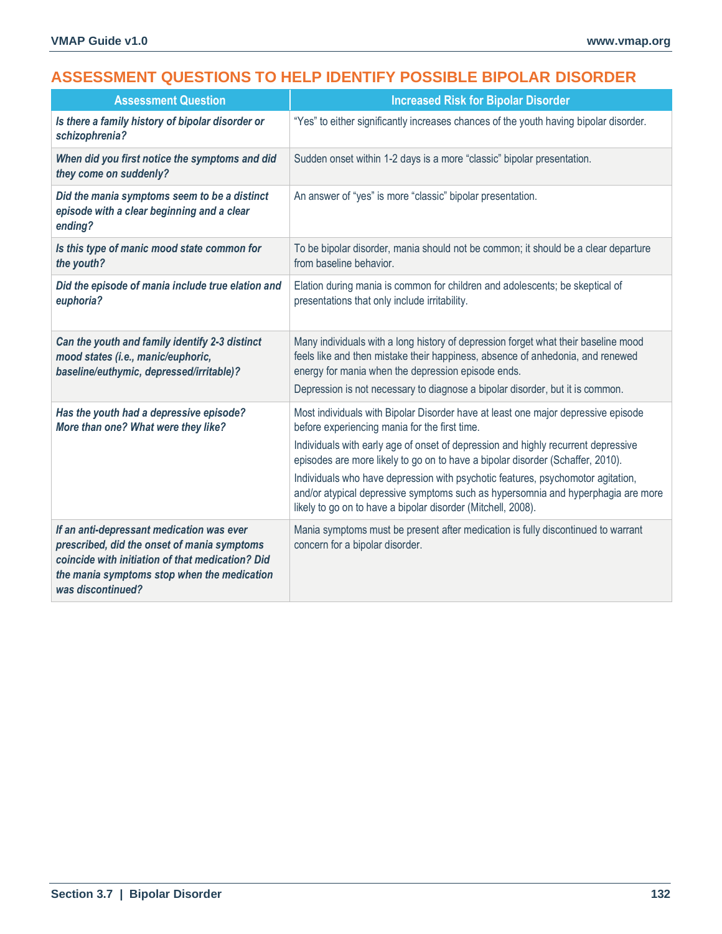## **ASSESSMENT QUESTIONS TO HELP IDENTIFY POSSIBLE BIPOLAR DISORDER**

| <b>Assessment Question</b>                                                                                                                                                                                       | <b>Increased Risk for Bipolar Disorder</b>                                                                                                                                                                                                                                                                                                                                                                                                                                                                                                       |
|------------------------------------------------------------------------------------------------------------------------------------------------------------------------------------------------------------------|--------------------------------------------------------------------------------------------------------------------------------------------------------------------------------------------------------------------------------------------------------------------------------------------------------------------------------------------------------------------------------------------------------------------------------------------------------------------------------------------------------------------------------------------------|
| Is there a family history of bipolar disorder or<br>schizophrenia?                                                                                                                                               | "Yes" to either significantly increases chances of the youth having bipolar disorder.                                                                                                                                                                                                                                                                                                                                                                                                                                                            |
| When did you first notice the symptoms and did<br>they come on suddenly?                                                                                                                                         | Sudden onset within 1-2 days is a more "classic" bipolar presentation.                                                                                                                                                                                                                                                                                                                                                                                                                                                                           |
| Did the mania symptoms seem to be a distinct<br>episode with a clear beginning and a clear<br>ending?                                                                                                            | An answer of "yes" is more "classic" bipolar presentation.                                                                                                                                                                                                                                                                                                                                                                                                                                                                                       |
| Is this type of manic mood state common for<br>the youth?                                                                                                                                                        | To be bipolar disorder, mania should not be common; it should be a clear departure<br>from baseline behavior.                                                                                                                                                                                                                                                                                                                                                                                                                                    |
| Did the episode of mania include true elation and<br>euphoria?                                                                                                                                                   | Elation during mania is common for children and adolescents; be skeptical of<br>presentations that only include irritability.                                                                                                                                                                                                                                                                                                                                                                                                                    |
| Can the youth and family identify 2-3 distinct<br>mood states (i.e., manic/euphoric,<br>baseline/euthymic, depressed/irritable)?                                                                                 | Many individuals with a long history of depression forget what their baseline mood<br>feels like and then mistake their happiness, absence of anhedonia, and renewed<br>energy for mania when the depression episode ends.<br>Depression is not necessary to diagnose a bipolar disorder, but it is common.                                                                                                                                                                                                                                      |
| Has the youth had a depressive episode?<br>More than one? What were they like?                                                                                                                                   | Most individuals with Bipolar Disorder have at least one major depressive episode<br>before experiencing mania for the first time.<br>Individuals with early age of onset of depression and highly recurrent depressive<br>episodes are more likely to go on to have a bipolar disorder (Schaffer, 2010).<br>Individuals who have depression with psychotic features, psychomotor agitation,<br>and/or atypical depressive symptoms such as hypersomnia and hyperphagia are more<br>likely to go on to have a bipolar disorder (Mitchell, 2008). |
| If an anti-depressant medication was ever<br>prescribed, did the onset of mania symptoms<br>coincide with initiation of that medication? Did<br>the mania symptoms stop when the medication<br>was discontinued? | Mania symptoms must be present after medication is fully discontinued to warrant<br>concern for a bipolar disorder.                                                                                                                                                                                                                                                                                                                                                                                                                              |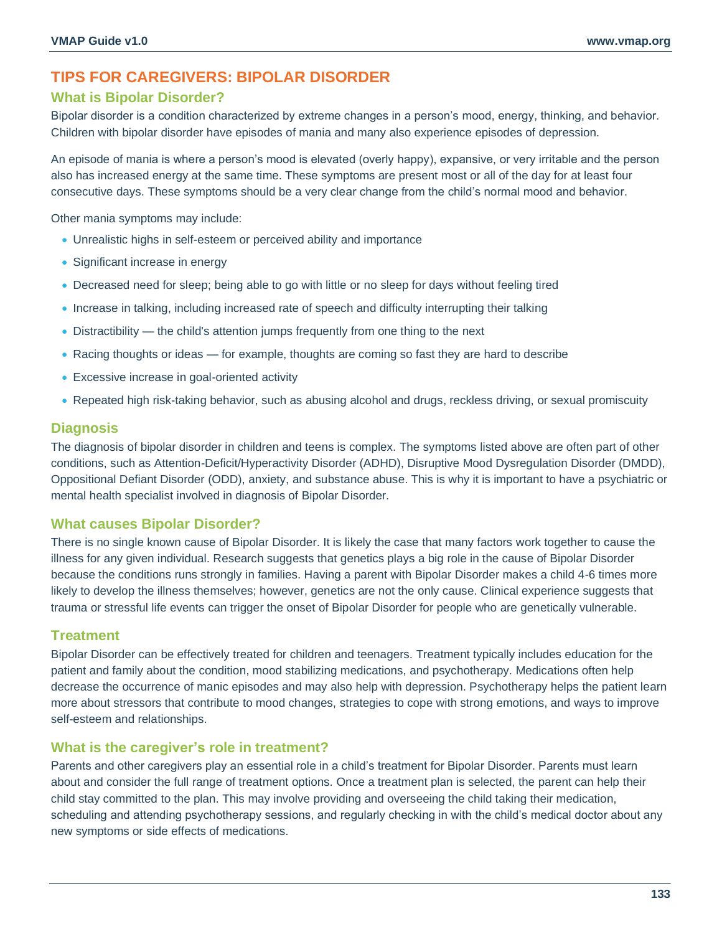## **TIPS FOR CAREGIVERS: BIPOLAR DISORDER**

## **What is Bipolar Disorder?**

Bipolar disorder is a condition characterized by extreme changes in a person's mood, energy, thinking, and behavior. Children with bipolar disorder have episodes of mania and many also experience episodes of depression.

An episode of mania is where a person's mood is elevated (overly happy), expansive, or very irritable and the person also has increased energy at the same time. These symptoms are present most or all of the day for at least four consecutive days. These symptoms should be a very clear change from the child's normal mood and behavior.

Other mania symptoms may include:

- Unrealistic highs in self-esteem or perceived ability and importance
- Significant increase in energy
- Decreased need for sleep; being able to go with little or no sleep for days without feeling tired
- Increase in talking, including increased rate of speech and difficulty interrupting their talking
- Distractibility the child's attention jumps frequently from one thing to the next
- Racing thoughts or ideas for example, thoughts are coming so fast they are hard to describe
- Excessive increase in goal-oriented activity
- Repeated high risk-taking behavior, such as abusing alcohol and drugs, reckless driving, or sexual promiscuity

### **Diagnosis**

The diagnosis of bipolar disorder in children and teens is complex. The symptoms listed above are often part of other conditions, such as Attention-Deficit/Hyperactivity Disorder (ADHD), Disruptive Mood Dysregulation Disorder (DMDD), Oppositional Defiant Disorder (ODD), anxiety, and substance abuse. This is why it is important to have a psychiatric or mental health specialist involved in diagnosis of Bipolar Disorder.

### **What causes Bipolar Disorder?**

There is no single known cause of Bipolar Disorder. It is likely the case that many factors work together to cause the illness for any given individual. Research suggests that genetics plays a big role in the cause of Bipolar Disorder because the conditions runs strongly in families. Having a parent with Bipolar Disorder makes a child 4-6 times more likely to develop the illness themselves; however, genetics are not the only cause. Clinical experience suggests that trauma or stressful life events can trigger the onset of Bipolar Disorder for people who are genetically vulnerable.

### **Treatment**

Bipolar Disorder can be effectively treated for children and teenagers. Treatment typically includes education for the patient and family about the condition, mood stabilizing medications, and psychotherapy. Medications often help decrease the occurrence of manic episodes and may also help with depression. Psychotherapy helps the patient learn more about stressors that contribute to mood changes, strategies to cope with strong emotions, and ways to improve self-esteem and relationships.

## **What is the caregiver's role in treatment?**

Parents and other caregivers play an essential role in a child's treatment for Bipolar Disorder. Parents must learn about and consider the full range of treatment options. Once a treatment plan is selected, the parent can help their child stay committed to the plan. This may involve providing and overseeing the child taking their medication, scheduling and attending psychotherapy sessions, and regularly checking in with the child's medical doctor about any new symptoms or side effects of medications.